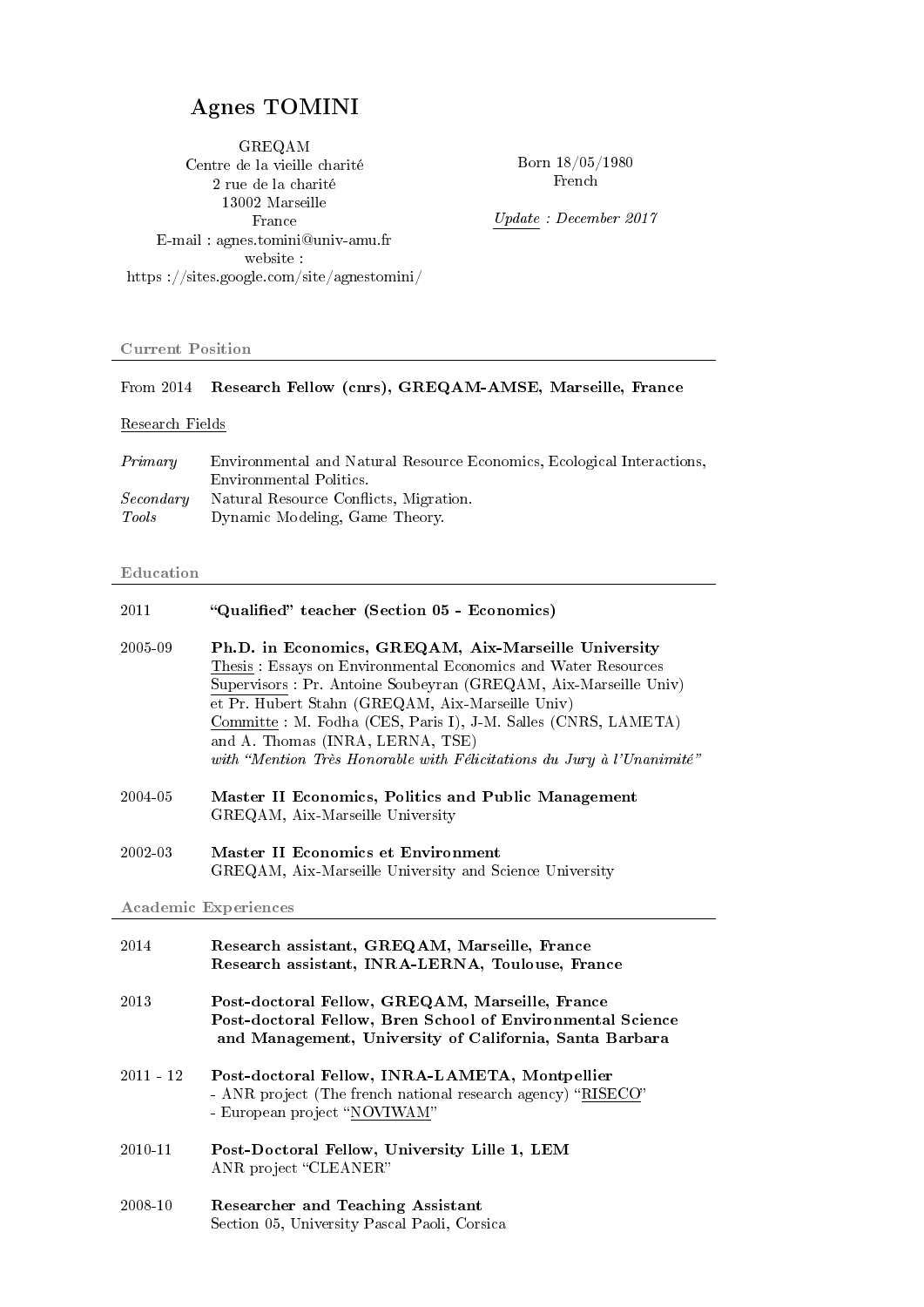# Agnes TOMINI

GREQAM Centre de la vieille charité 2 rue de la charité 13002 Marseille France E-mail : agnes.tomini@univ-amu.fr website : https ://sites.google.com/site/agnestomini/

Born 18/05/1980 French

Update : December 2017

### Current Position

### From 2014 Research Fellow (cnrs), GREQAM-AMSE, Marseille, France

### Research Fields

| Primary   | Environmental and Natural Resource Economics, Ecological Interactions, |
|-----------|------------------------------------------------------------------------|
|           | Environmental Politics.                                                |
| Secondary | Natural Resource Conflicts, Migration.                                 |
| Tools     | Dynamic Modeling, Game Theory.                                         |

#### Education

| 2011                        | "Qualified" teacher (Section 05 - Economics)                                                                                                                                                                                                                                                                                                                                                                                 |  |
|-----------------------------|------------------------------------------------------------------------------------------------------------------------------------------------------------------------------------------------------------------------------------------------------------------------------------------------------------------------------------------------------------------------------------------------------------------------------|--|
| 2005-09                     | Ph.D. in Economics, GREQAM, Aix-Marseille University<br>Thesis: Essays on Environmental Economics and Water Resources<br>Supervisors : Pr. Antoine Soubeyran (GREQAM, Aix-Marseille Univ)<br>et Pr. Hubert Stahn (GREQAM, Aix-Marseille Univ)<br>Committe: M. Fodha (CES, Paris I), J-M. Salles (CNRS, LAMETA)<br>and A. Thomas (INRA, LERNA, TSE)<br>with "Mention Très Honorable with Félicitations du Jury à l'Unanimité" |  |
| 2004-05                     | Master II Economics, Politics and Public Management<br>GREQAM, Aix-Marseille University                                                                                                                                                                                                                                                                                                                                      |  |
| 2002-03                     | <b>Master II Economics et Environment</b><br>GREQAM, Aix-Marseille University and Science University                                                                                                                                                                                                                                                                                                                         |  |
| <b>Academic Experiences</b> |                                                                                                                                                                                                                                                                                                                                                                                                                              |  |
|                             |                                                                                                                                                                                                                                                                                                                                                                                                                              |  |
| 2014                        | Research assistant, GREQAM, Marseille, France<br>Research assistant, INRA-LERNA, Toulouse, France                                                                                                                                                                                                                                                                                                                            |  |
| 2013                        | Post-doctoral Fellow, GREQAM, Marseille, France<br>Post-doctoral Fellow, Bren School of Environmental Science<br>and Management, University of California, Santa Barbara                                                                                                                                                                                                                                                     |  |
| $2011 - 12$                 | Post-doctoral Fellow, INRA-LAMETA, Montpellier<br>- ANR project (The french national research agency) "RISECO"<br>- European project "NOVIWAM"                                                                                                                                                                                                                                                                               |  |
| 2010-11                     | Post-Doctoral Fellow, University Lille 1, LEM<br>ANR project "CLEANER"                                                                                                                                                                                                                                                                                                                                                       |  |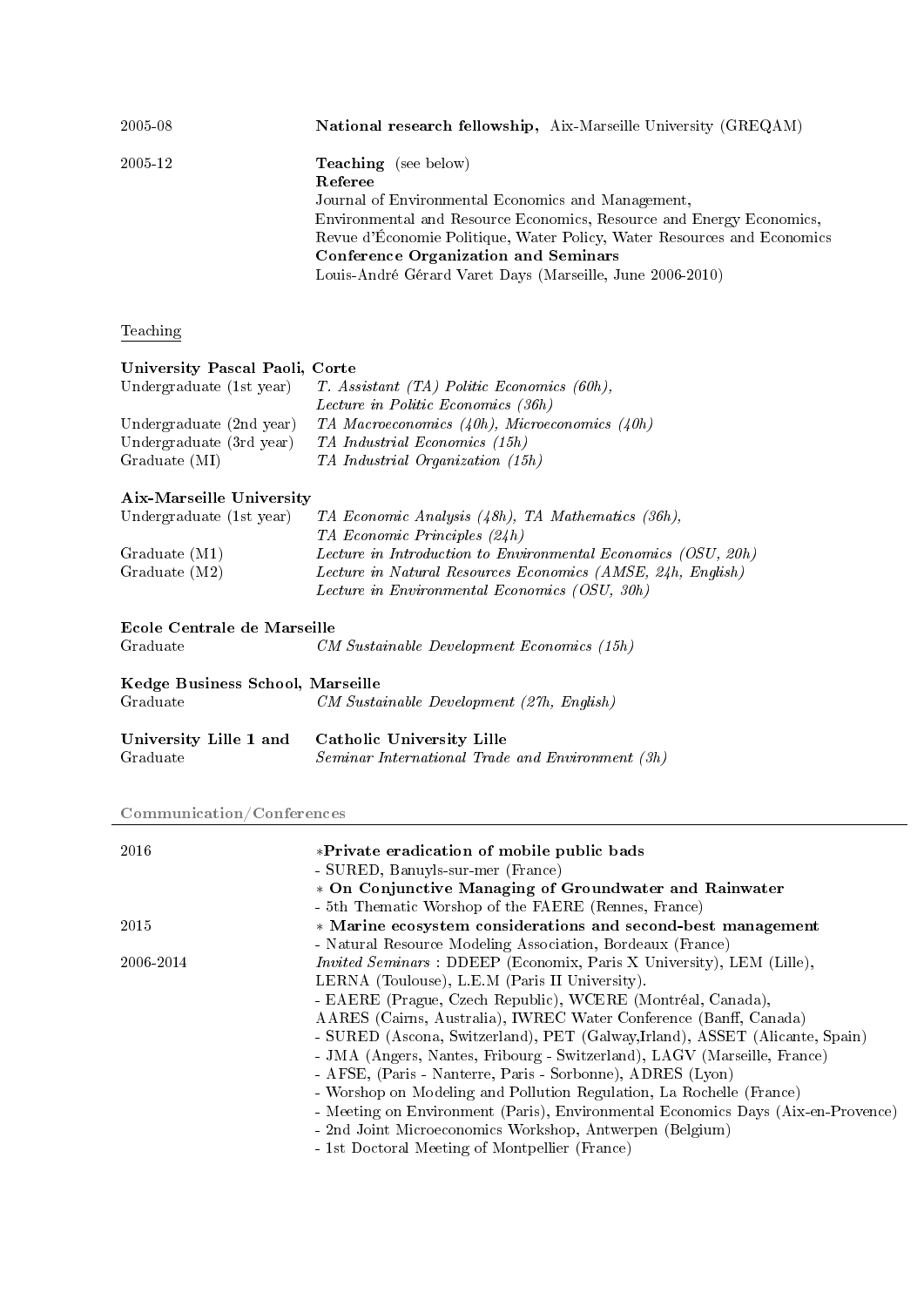| 2005-08 | National research fellowship, Aix-Marseille University (GREQAM)                                                                                                                                                                                                                                                                                             |
|---------|-------------------------------------------------------------------------------------------------------------------------------------------------------------------------------------------------------------------------------------------------------------------------------------------------------------------------------------------------------------|
| 2005-12 | <b>Teaching</b> (see below)<br>Referee<br>Journal of Environmental Economics and Management,<br>Environmental and Resource Economics, Resource and Energy Economics,<br>Revue d'Économie Politique, Water Policy, Water Resources and Economics<br><b>Conference Organization and Seminars</b><br>Louis-André Gérard Varet Days (Marseille, June 2006-2010) |

# Teaching

# University Pascal Paoli, Corte

| Undergraduate (1st year) | $T.$ Assistant (TA) Politic Economics (60h),       |
|--------------------------|----------------------------------------------------|
|                          | Lecture in Politic Economics (36h)                 |
| Undergraduate (2nd year) | TA Macroeconomics $(40h)$ , Microeconomics $(40h)$ |
| Undergraduate (3rd year) | TA Industrial Economics (15h)                      |
| Graduate (MI)            | TA Industrial Organization (15h)                   |
|                          |                                                    |

# Aix-Marseille University

| Undergraduate (1st year)    | TA Economic Analysis (48h), TA Mathematics (36h),             |
|-----------------------------|---------------------------------------------------------------|
|                             | TA Economic Principles (24h)                                  |
| Graduate (M1)               | Lecture in Introduction to Environmental Economics (OSU, 20h) |
| Graduate (M2)               | Lecture in Natural Resources Economics (AMSE, 24h, English)   |
|                             | Lecture in Environmental Economics (OSU, 30h)                 |
| Ecole Centrale de Marseille |                                                               |

#### Ecole Centrale de Marseill<br>Graduate  $\qquad \qquad C$  $CM$  Sustainable Development Economics (15h)

| Kedge Business School, Marseille<br>Graduate | CM Sustainable Development (27h, English)                                                                   |
|----------------------------------------------|-------------------------------------------------------------------------------------------------------------|
| Graduate                                     | University Lille 1 and Catholic University Lille<br><i>Seminar International Trade and Environment (3h)</i> |

# Communication/Conferences

| 2016      | *Private eradication of mobile public bads                                       |
|-----------|----------------------------------------------------------------------------------|
|           | - SURED, Banuyls-sur-mer (France)                                                |
|           | * On Conjunctive Managing of Groundwater and Rainwater                           |
|           | - 5th Thematic Worshop of the FAERE (Rennes, France)                             |
| 2015      | * Marine ecosystem considerations and second-best management                     |
|           | - Natural Resource Modeling Association, Bordeaux (France)                       |
| 2006-2014 | <i>Invited Seminars</i> : DDEEP (Economix, Paris X University), LEM (Lille),     |
|           | LERNA (Toulouse), L.E.M (Paris II University).                                   |
|           | - EAERE (Prague, Czech Republic), WCERE (Montréal, Canada),                      |
|           | AARES (Cairns, Australia), IWREC Water Conference (Banff, Canada)                |
|           | - SURED (Ascona, Switzerland), PET (Galway, Irland), ASSET (Alicante, Spain)     |
|           | - JMA (Angers, Nantes, Fribourg - Switzerland), LAGV (Marseille, France)         |
|           | - AFSE, (Paris - Nanterre, Paris - Sorbonne), ADRES (Lyon)                       |
|           | - Worshop on Modeling and Pollution Regulation, La Rochelle (France)             |
|           | - Meeting on Environment (Paris), Environmental Economics Days (Aix-en-Provence) |
|           | - 2nd Joint Microeconomics Workshop, Antwerpen (Belgium)                         |
|           | - 1st Doctoral Meeting of Montpellier (France)                                   |